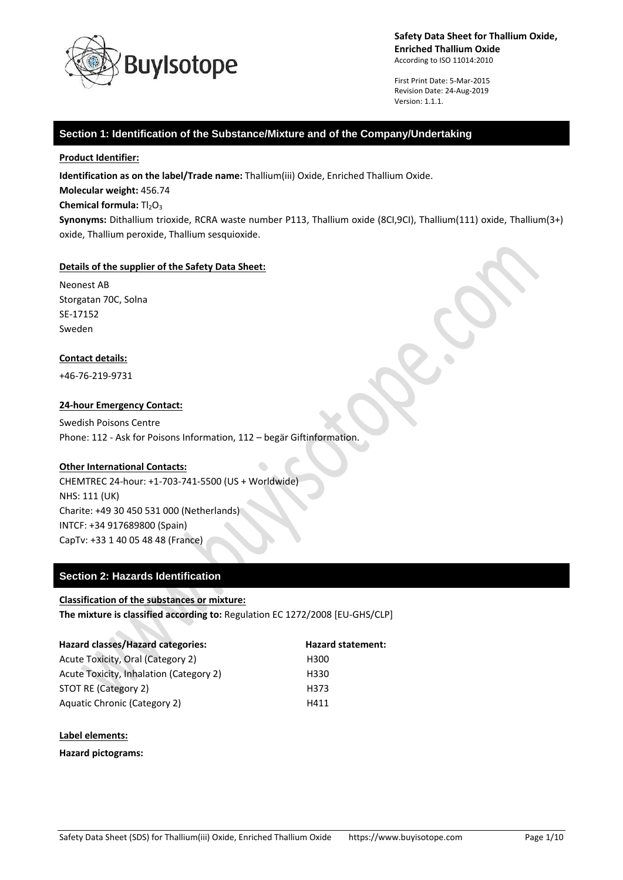

First Print Date: 5-Mar-2015 Revision Date: 24-Aug-2019 Version: 1.1.1.

### **Section 1: Identification of the Substance/Mixture and of the Company/Undertaking**

#### **Product Identifier:**

**Identification as on the label/Trade name:** Thallium(iii) Oxide, Enriched Thallium Oxide.

**Molecular weight:** 456.74

#### **Chemical formula:**  $TI_2O_3$

**Synonyms:** Dithallium trioxide, RCRA waste number P113, Thallium oxide (8CI,9CI), Thallium(111) oxide, Thallium(3+) oxide, Thallium peroxide, Thallium sesquioxide.

#### **Details of the supplier of the Safety Data Sheet:**

Neonest AB Storgatan 70C, Solna SE-17152 Sweden

#### **Contact details:**

+46-76-219-9731

#### **24-hour Emergency Contact:**

Swedish Poisons Centre Phone: 112 - Ask for Poisons Information, 112 – begär Giftinformation.

#### **Other International Contacts:**

CHEMTREC 24-hour: +1-703-741-5500 (US + Worldwide) NHS: 111 (UK) Charite: +49 30 450 531 000 (Netherlands) INTCF: +34 917689800 (Spain) CapTv: +33 1 40 05 48 48 (France)

### **Section 2: Hazards Identification**

# **Classification of the substances or mixture:**

S.

 $\Delta \omega$ 

**The mixture is classified according to:** Regulation EC 1272/2008 [EU-GHS/CLP]

| <b>Hazard classes/Hazard categories:</b> | <b>Hazard statement:</b> |
|------------------------------------------|--------------------------|
| Acute Toxicity, Oral (Category 2)        | H300                     |
| Acute Toxicity, Inhalation (Category 2)  | H330                     |
| STOT RE (Category 2)                     | H373                     |
| Aquatic Chronic (Category 2)             | H411                     |

#### **Label elements:**

**Hazard pictograms:**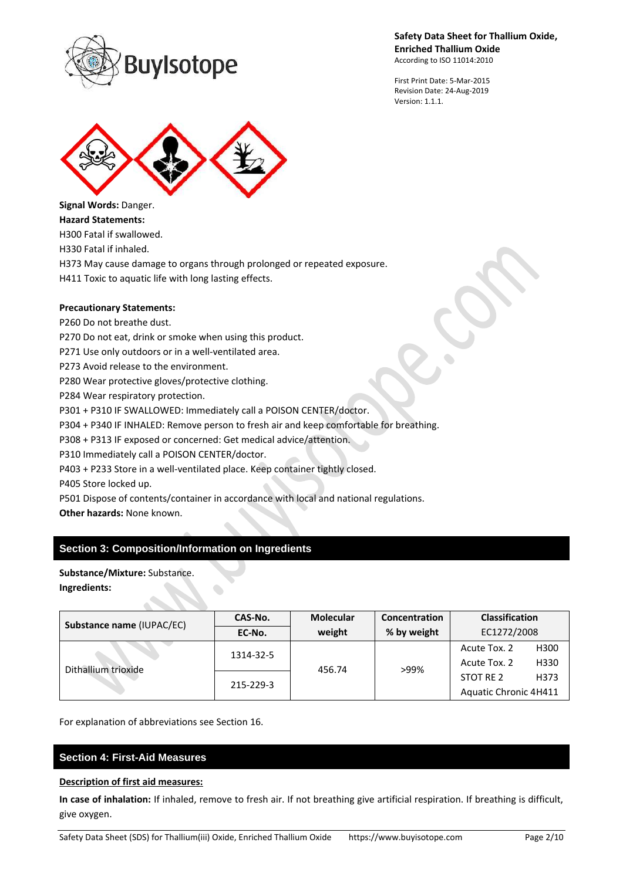

First Print Date: 5-Mar-2015 Revision Date: 24-Aug-2019 Version: 1.1.1.



**Signal Words:** Danger. **Hazard Statements:** H300 Fatal if swallowed. H330 Fatal if inhaled. H373 May cause damage to organs through prolonged or repeated exposure.

H411 Toxic to aquatic life with long lasting effects.

### **Precautionary Statements:**

P260 Do not breathe dust.

P270 Do not eat, drink or smoke when using this product.

P271 Use only outdoors or in a well-ventilated area.

P273 Avoid release to the environment.

P280 Wear protective gloves/protective clothing.

P284 Wear respiratory protection.

P301 + P310 IF SWALLOWED: Immediately call a POISON CENTER/doctor.

P304 + P340 IF INHALED: Remove person to fresh air and keep comfortable for breathing.

P308 + P313 IF exposed or concerned: Get medical advice/attention.

P310 Immediately call a POISON CENTER/doctor.

P403 + P233 Store in a well-ventilated place. Keep container tightly closed.

P405 Store locked up.

P501 Dispose of contents/container in accordance with local and national regulations.

**Other hazards:** None known.

# **Section 3: Composition/Information on Ingredients**

**Substance/Mixture:** Substance. **Ingredients:**

| Substance name (IUPAC/EC) | CAS-No.   | <b>Molecular</b> | <b>Classification</b><br><b>Concentration</b> |                       |      |
|---------------------------|-----------|------------------|-----------------------------------------------|-----------------------|------|
|                           | EC-No.    | weight           | % by weight                                   | EC1272/2008           |      |
| Dithallium trioxide       | 1314-32-5 | 456.74           | >99%                                          | Acute Tox. 2          | H300 |
|                           |           |                  |                                               | Acute Tox. 2          | H330 |
|                           | 215-229-3 |                  |                                               | STOT RE 2             | H373 |
|                           |           |                  |                                               | Aquatic Chronic 4H411 |      |

For explanation of abbreviations see Section 16.

### **Section 4: First-Aid Measures**

#### **Description of first aid measures:**

**In case of inhalation:** If inhaled, remove to fresh air. If not breathing give artificial respiration. If breathing is difficult, give oxygen.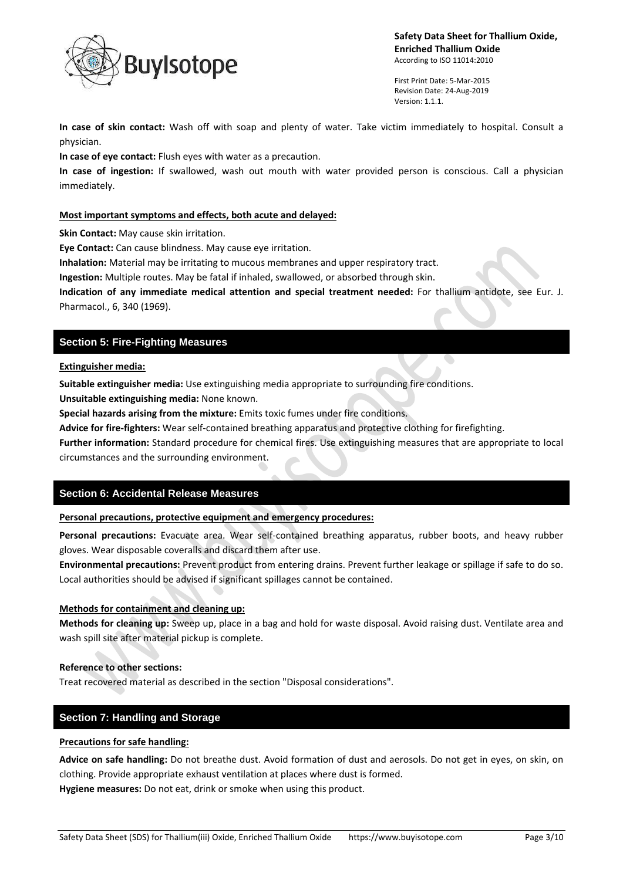

First Print Date: 5-Mar-2015 Revision Date: 24-Aug-2019 Version: 1.1.1.

**In case of skin contact:** Wash off with soap and plenty of water. Take victim immediately to hospital. Consult a physician.

**In case of eye contact:** Flush eyes with water as a precaution.

**In case of ingestion:** If swallowed, wash out mouth with water provided person is conscious. Call a physician immediately.

### **Most important symptoms and effects, both acute and delayed:**

**Skin Contact:** May cause skin irritation.

**Eye Contact:** Can cause blindness. May cause eye irritation.

**Inhalation:** Material may be irritating to mucous membranes and upper respiratory tract.

**Ingestion:** Multiple routes. May be fatal if inhaled, swallowed, or absorbed through skin.

**Indication of any immediate medical attention and special treatment needed:** For thallium antidote, see Eur. J. Pharmacol., 6, 340 (1969).

# **Section 5: Fire-Fighting Measures**

**Extinguisher media:**

**Suitable extinguisher media:** Use extinguishing media appropriate to surrounding fire conditions.

**Unsuitable extinguishing media:** None known.

**Special hazards arising from the mixture:** Emits toxic fumes under fire conditions.

**Advice for fire-fighters:** Wear self-contained breathing apparatus and protective clothing for firefighting.

**Further information:** Standard procedure for chemical fires. Use extinguishing measures that are appropriate to local circumstances and the surrounding environment.

## **Section 6: Accidental Release Measures**

### **Personal precautions, protective equipment and emergency procedures:**

**Personal precautions:** Evacuate area. Wear self-contained breathing apparatus, rubber boots, and heavy rubber gloves. Wear disposable coveralls and discard them after use.

**Environmental precautions:** Prevent product from entering drains. Prevent further leakage or spillage if safe to do so. Local authorities should be advised if significant spillages cannot be contained.

### **Methods for containment and cleaning up:**

**Methods for cleaning up:** Sweep up, place in a bag and hold for waste disposal. Avoid raising dust. Ventilate area and wash spill site after material pickup is complete.

### **Reference to other sections:**

Treat recovered material as described in the section "Disposal considerations".

## **Section 7: Handling and Storage**

### **Precautions for safe handling:**

**Advice on safe handling:** Do not breathe dust. Avoid formation of dust and aerosols. Do not get in eyes, on skin, on clothing. Provide appropriate exhaust ventilation at places where dust is formed.

**Hygiene measures:** Do not eat, drink or smoke when using this product.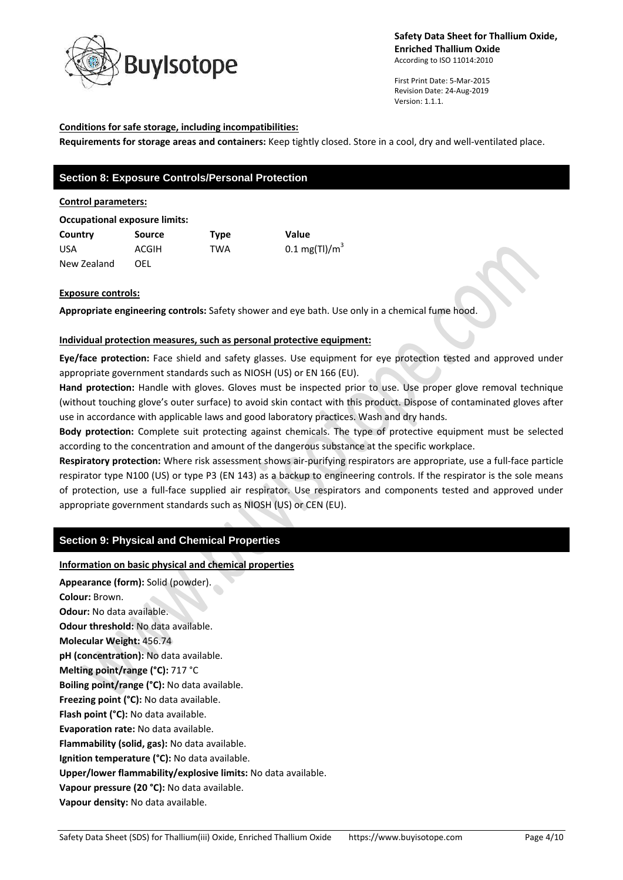

First Print Date: 5-Mar-2015 Revision Date: 24-Aug-2019 Version: 1.1.1.

### **Conditions for safe storage, including incompatibilities:**

**Requirements for storage areas and containers:** Keep tightly closed. Store in a cool, dry and well-ventilated place.

# **Section 8: Exposure Controls/Personal Protection**

#### **Control parameters:**

#### **Occupational exposure limits:**

**Country Source Type Value** USA  $ACGIH$  TWA  $0.1 \text{ mg(TI)}/m^3$ New Zealand OEL

### **Exposure controls:**

**Appropriate engineering controls:** Safety shower and eye bath. Use only in a chemical fume hood.

### **Individual protection measures, such as personal protective equipment:**

**Eye/face protection:** Face shield and safety glasses. Use equipment for eye protection tested and approved under appropriate government standards such as NIOSH (US) or EN 166 (EU).

**Hand protection:** Handle with gloves. Gloves must be inspected prior to use. Use proper glove removal technique (without touching glove's outer surface) to avoid skin contact with this product. Dispose of contaminated gloves after use in accordance with applicable laws and good laboratory practices. Wash and dry hands.

**Body protection:** Complete suit protecting against chemicals. The type of protective equipment must be selected according to the concentration and amount of the dangerous substance at the specific workplace.

**Respiratory protection:** Where risk assessment shows air-purifying respirators are appropriate, use a full-face particle respirator type N100 (US) or type P3 (EN 143) as a backup to engineering controls. If the respirator is the sole means of protection, use a full-face supplied air respirator. Use respirators and components tested and approved under appropriate government standards such as NIOSH (US) or CEN (EU).

## **Section 9: Physical and Chemical Properties**

### **Information on basic physical and chemical properties**

**Appearance (form):** Solid (powder). **Colour:** Brown. **Odour:** No data available. **Odour threshold:** No data available. **Molecular Weight:** 456.74 **pH (concentration):** No data available. **Melting point/range (°C):** 717 °C **Boiling point/range (°C):** No data available. **Freezing point (°C):** No data available. **Flash point (°C):** No data available. **Evaporation rate:** No data available. **Flammability (solid, gas):** No data available. **Ignition temperature (°C):** No data available. **Upper/lower flammability/explosive limits:** No data available. **Vapour pressure (20 °C):** No data available. **Vapour density:** No data available.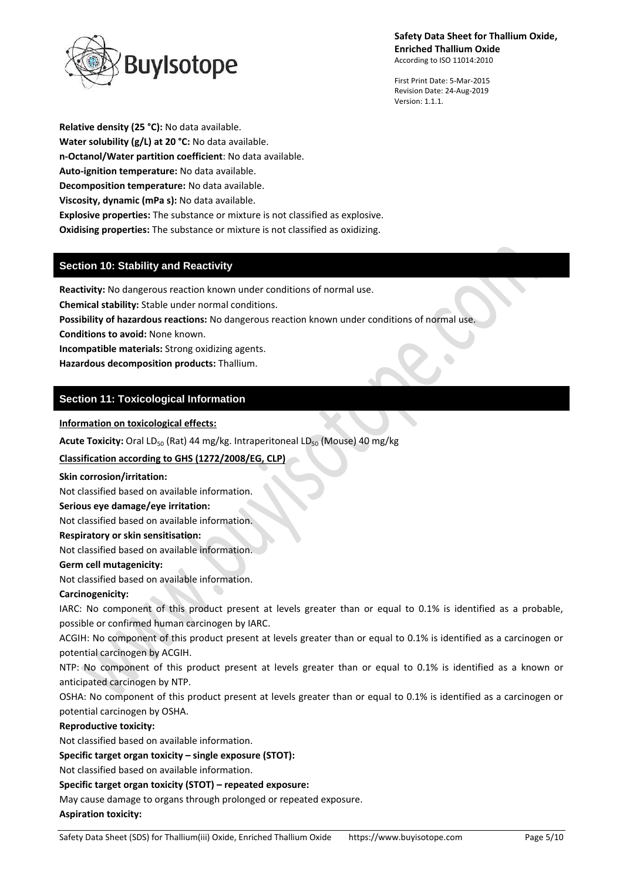

First Print Date: 5-Mar-2015 Revision Date: 24-Aug-2019 Version: 1.1.1.

**Relative density (25 °C):** No data available. **Water solubility (g/L) at 20 °C:** No data available. **n-Octanol/Water partition coefficient**: No data available. **Auto-ignition temperature:** No data available. **Decomposition temperature:** No data available. **Viscosity, dynamic (mPa s):** No data available. **Explosive properties:** The substance or mixture is not classified as explosive. **Oxidising properties:** The substance or mixture is not classified as oxidizing.

# **Section 10: Stability and Reactivity**

**Reactivity:** No dangerous reaction known under conditions of normal use.

**Chemical stability:** Stable under normal conditions.

**Possibility of hazardous reactions:** No dangerous reaction known under conditions of normal use.

**Conditions to avoid:** None known.

**Incompatible materials:** Strong oxidizing agents.

**Hazardous decomposition products:** Thallium.

# **Section 11: Toxicological Information**

**Information on toxicological effects:**

**Acute Toxicity:** Oral LD<sub>50</sub> (Rat) 44 mg/kg. Intraperitoneal LD<sub>50</sub> (Mouse) 40 mg/kg

## **Classification according to GHS (1272/2008/EG, CLP)**

### **Skin corrosion/irritation:**

Not classified based on available information.

## **Serious eye damage/eye irritation:**

Not classified based on available information.

**Respiratory or skin sensitisation:**

Not classified based on available information.

## **Germ cell mutagenicity:**

Not classified based on available information.

## **Carcinogenicity:**

IARC: No component of this product present at levels greater than or equal to 0.1% is identified as a probable, possible or confirmed human carcinogen by IARC.

ACGIH: No component of this product present at levels greater than or equal to 0.1% is identified as a carcinogen or potential carcinogen by ACGIH.

NTP: No component of this product present at levels greater than or equal to 0.1% is identified as a known or anticipated carcinogen by NTP.

OSHA: No component of this product present at levels greater than or equal to 0.1% is identified as a carcinogen or potential carcinogen by OSHA.

## **Reproductive toxicity:**

Not classified based on available information.

## **Specific target organ toxicity – single exposure (STOT):**

Not classified based on available information.

### **Specific target organ toxicity (STOT) – repeated exposure:**

May cause damage to organs through prolonged or repeated exposure.

### **Aspiration toxicity:**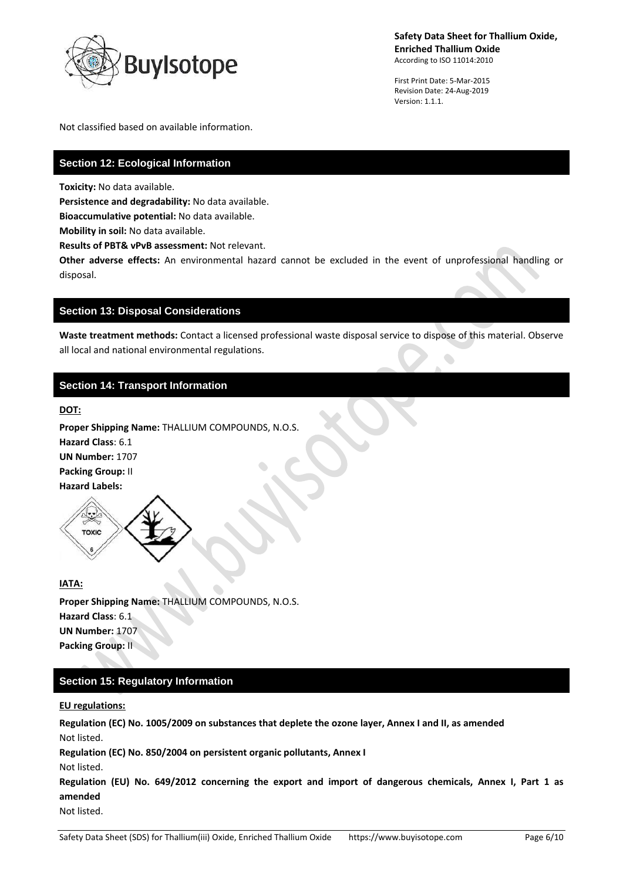

First Print Date: 5-Mar-2015 Revision Date: 24-Aug-2019 Version: 1.1.1.

Not classified based on available information.

# **Section 12: Ecological Information**

**Toxicity:** No data available.

**Persistence and degradability:** No data available.

**Bioaccumulative potential:** No data available.

**Mobility in soil:** No data available.

**Results of PBT& vPvB assessment:** Not relevant.

**Other adverse effects:** An environmental hazard cannot be excluded in the event of unprofessional handling or disposal.

### **Section 13: Disposal Considerations**

**Waste treatment methods:** Contact a licensed professional waste disposal service to dispose of this material. Observe all local and national environmental regulations.

# **Section 14: Transport Information**

#### **DOT:**

**Proper Shipping Name:** THALLIUM COMPOUNDS, N.O.S. **Hazard Class**: 6.1 **UN Number:** 1707 **Packing Group:** II **Hazard Labels:** 



### **IATA:**

**Proper Shipping Name:** THALLIUM COMPOUNDS, N.O.S. **Hazard Class**: 6.1 **UN Number:** 1707 **Packing Group:** II

# **Section 15: Regulatory Information**

**EU regulations:**

**Regulation (EC) No. 1005/2009 on substances that deplete the ozone layer, Annex I and II, as amended** Not listed.

**Regulation (EC) No. 850/2004 on persistent organic pollutants, Annex I**

Not listed.

**Regulation (EU) No. 649/2012 concerning the export and import of dangerous chemicals, Annex I, Part 1 as amended**

Not listed.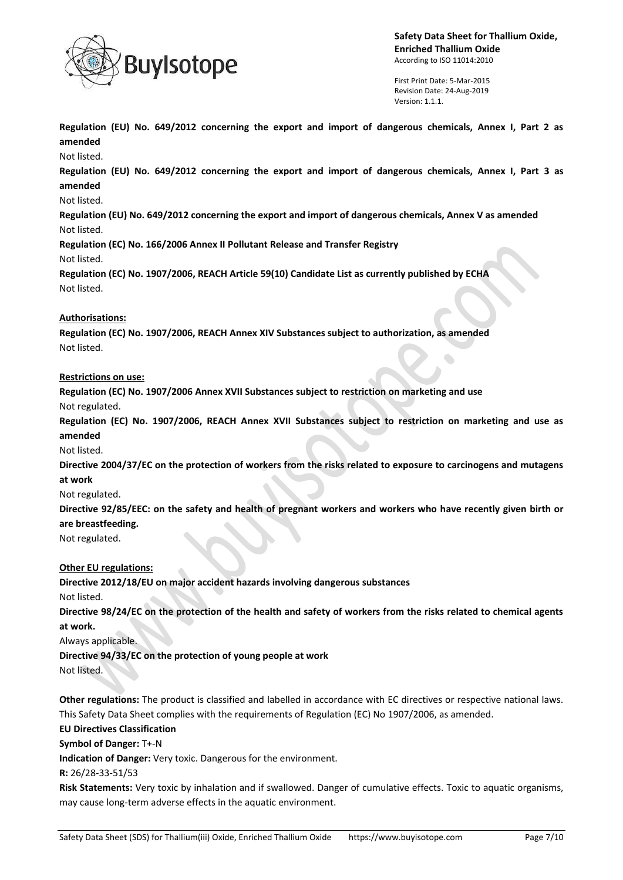

First Print Date: 5-Mar-2015 Revision Date: 24-Aug-2019 Version: 1.1.1.

**Regulation (EU) No. 649/2012 concerning the export and import of dangerous chemicals, Annex I, Part 2 as amended**

Not listed.

**Regulation (EU) No. 649/2012 concerning the export and import of dangerous chemicals, Annex I, Part 3 as amended**

### Not listed.

**Regulation (EU) No. 649/2012 concerning the export and import of dangerous chemicals, Annex V as amended** Not listed.

**Regulation (EC) No. 166/2006 Annex II Pollutant Release and Transfer Registry** Not listed.

**Regulation (EC) No. 1907/2006, REACH Article 59(10) Candidate List as currently published by ECHA** Not listed.

### **Authorisations:**

**Regulation (EC) No. 1907/2006, REACH Annex XIV Substances subject to authorization, as amended** Not listed.

### **Restrictions on use:**

**Regulation (EC) No. 1907/2006 Annex XVII Substances subject to restriction on marketing and use**

Not regulated.

**Regulation (EC) No. 1907/2006, REACH Annex XVII Substances subject to restriction on marketing and use as amended**

Not listed.

**Directive 2004/37/EC on the protection of workers from the risks related to exposure to carcinogens and mutagens at work**

### Not regulated.

**Directive 92/85/EEC: on the safety and health of pregnant workers and workers who have recently given birth or are breastfeeding.**

Not regulated.

## **Other EU regulations:**

**Directive 2012/18/EU on major accident hazards involving dangerous substances**

Not listed.

**Directive 98/24/EC on the protection of the health and safety of workers from the risks related to chemical agents at work.**

Always applicable.

**Directive 94/33/EC on the protection of young people at work**

Not listed.

**Other regulations:** The product is classified and labelled in accordance with EC directives or respective national laws. This Safety Data Sheet complies with the requirements of Regulation (EC) No 1907/2006, as amended.

### **EU Directives Classification**

**Symbol of Danger:** T+-N

**Indication of Danger:** Very toxic. Dangerous for the environment.

**R:** 26/28-33-51/53

**Risk Statements:** Very toxic by inhalation and if swallowed. Danger of cumulative effects. Toxic to aquatic organisms, may cause long-term adverse effects in the aquatic environment.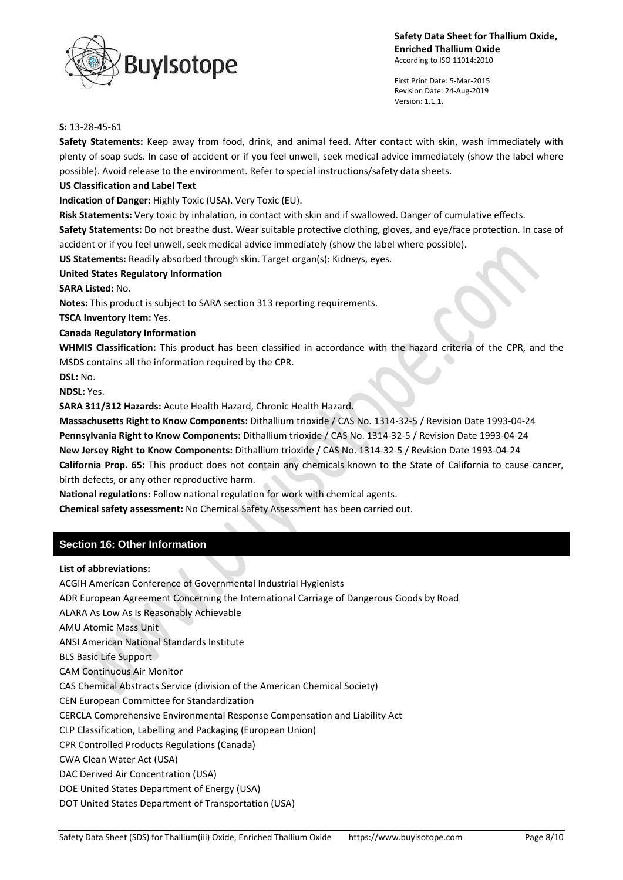

First Print Date: 5-Mar-2015 Revision Date: 24-Aug-2019 Version: 1.1.1.

#### **S:** 13-28-45-61

**Safety Statements:** Keep away from food, drink, and animal feed. After contact with skin, wash immediately with plenty of soap suds. In case of accident or if you feel unwell, seek medical advice immediately (show the label where possible). Avoid release to the environment. Refer to special instructions/safety data sheets.

### **US Classification and Label Text**

**Indication of Danger:** Highly Toxic (USA). Very Toxic (EU).

**Risk Statements:** Very toxic by inhalation, in contact with skin and if swallowed. Danger of cumulative effects.

**Safety Statements:** Do not breathe dust. Wear suitable protective clothing, gloves, and eye/face protection. In case of accident or if you feel unwell, seek medical advice immediately (show the label where possible).

**US Statements:** Readily absorbed through skin. Target organ(s): Kidneys, eyes.

### **United States Regulatory Information**

**SARA Listed:** No.

**Notes:** This product is subject to SARA section 313 reporting requirements.

**TSCA Inventory Item:** Yes.

### **Canada Regulatory Information**

**WHMIS Classification:** This product has been classified in accordance with the hazard criteria of the CPR, and the MSDS contains all the information required by the CPR.

**DSL:** No.

**NDSL:** Yes.

**SARA 311/312 Hazards:** Acute Health Hazard, Chronic Health Hazard.

**Massachusetts Right to Know Components:** Dithallium trioxide / CAS No. 1314-32-5 / Revision Date 1993-04-24 **Pennsylvania Right to Know Components:** Dithallium trioxide / CAS No. 1314-32-5 / Revision Date 1993-04-24 **New Jersey Right to Know Components:** Dithallium trioxide / CAS No. 1314-32-5 / Revision Date 1993-04-24 **California Prop. 65:** This product does not contain any chemicals known to the State of California to cause cancer, birth defects, or any other reproductive harm.

**National regulations:** Follow national regulation for work with chemical agents.

**Chemical safety assessment:** No Chemical Safety Assessment has been carried out.

## **Section 16: Other Information**

### **List of abbreviations:**

ACGIH American Conference of Governmental Industrial Hygienists ADR European Agreement Concerning the International Carriage of Dangerous Goods by Road ALARA As Low As Is Reasonably Achievable AMU Atomic Mass Unit ANSI American National Standards Institute BLS Basic Life Support CAM Continuous Air Monitor CAS Chemical Abstracts Service (division of the American Chemical Society) CEN European Committee for Standardization CERCLA Comprehensive Environmental Response Compensation and Liability Act CLP Classification, Labelling and Packaging (European Union) CPR Controlled Products Regulations (Canada) CWA Clean Water Act (USA) DAC Derived Air Concentration (USA) DOE United States Department of Energy (USA) DOT United States Department of Transportation (USA)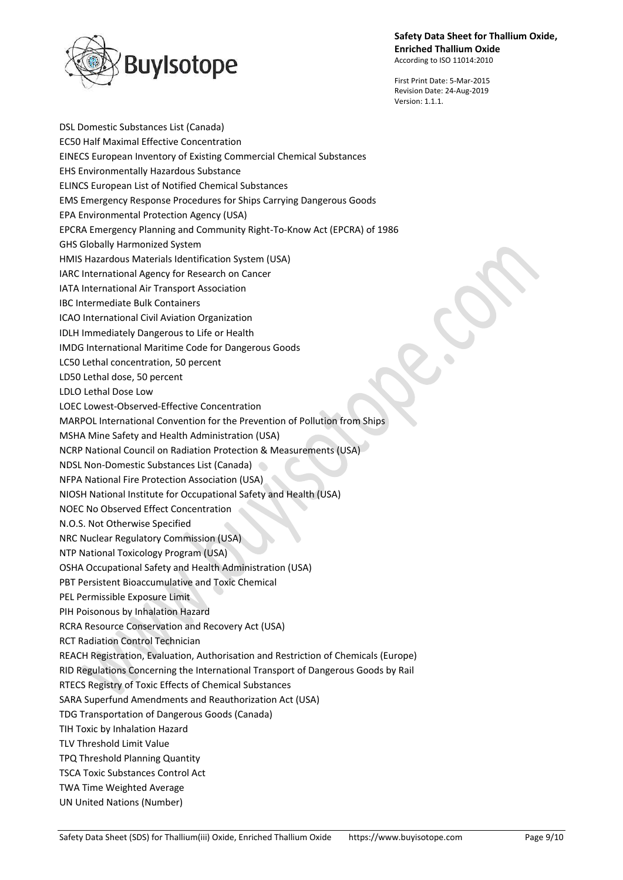

First Print Date: 5-Mar-2015 Revision Date: 24-Aug-2019 Version: 1.1.1.

DSL Domestic Substances List (Canada) EC50 Half Maximal Effective Concentration EINECS European Inventory of Existing Commercial Chemical Substances EHS Environmentally Hazardous Substance ELINCS European List of Notified Chemical Substances EMS Emergency Response Procedures for Ships Carrying Dangerous Goods EPA Environmental Protection Agency (USA) EPCRA Emergency Planning and Community Right-To-Know Act (EPCRA) of 1986 GHS Globally Harmonized System HMIS Hazardous Materials Identification System (USA) IARC International Agency for Research on Cancer IATA International Air Transport Association IBC Intermediate Bulk Containers ICAO International Civil Aviation Organization IDLH Immediately Dangerous to Life or Health IMDG International Maritime Code for Dangerous Goods LC50 Lethal concentration, 50 percent LD50 Lethal dose, 50 percent LDLO Lethal Dose Low LOEC Lowest-Observed-Effective Concentration MARPOL International Convention for the Prevention of Pollution from Ships MSHA Mine Safety and Health Administration (USA) NCRP National Council on Radiation Protection & Measurements (USA) NDSL Non-Domestic Substances List (Canada) NFPA National Fire Protection Association (USA) NIOSH National Institute for Occupational Safety and Health (USA) NOEC No Observed Effect Concentration N.O.S. Not Otherwise Specified NRC Nuclear Regulatory Commission (USA) NTP National Toxicology Program (USA) OSHA Occupational Safety and Health Administration (USA) PBT Persistent Bioaccumulative and Toxic Chemical PEL Permissible Exposure Limit PIH Poisonous by Inhalation Hazard RCRA Resource Conservation and Recovery Act (USA) RCT Radiation Control Technician REACH Registration, Evaluation, Authorisation and Restriction of Chemicals (Europe) RID Regulations Concerning the International Transport of Dangerous Goods by Rail RTECS Registry of Toxic Effects of Chemical Substances SARA Superfund Amendments and Reauthorization Act (USA) TDG Transportation of Dangerous Goods (Canada) TIH Toxic by Inhalation Hazard TLV Threshold Limit Value TPQ Threshold Planning Quantity TSCA Toxic Substances Control Act TWA Time Weighted Average UN United Nations (Number)